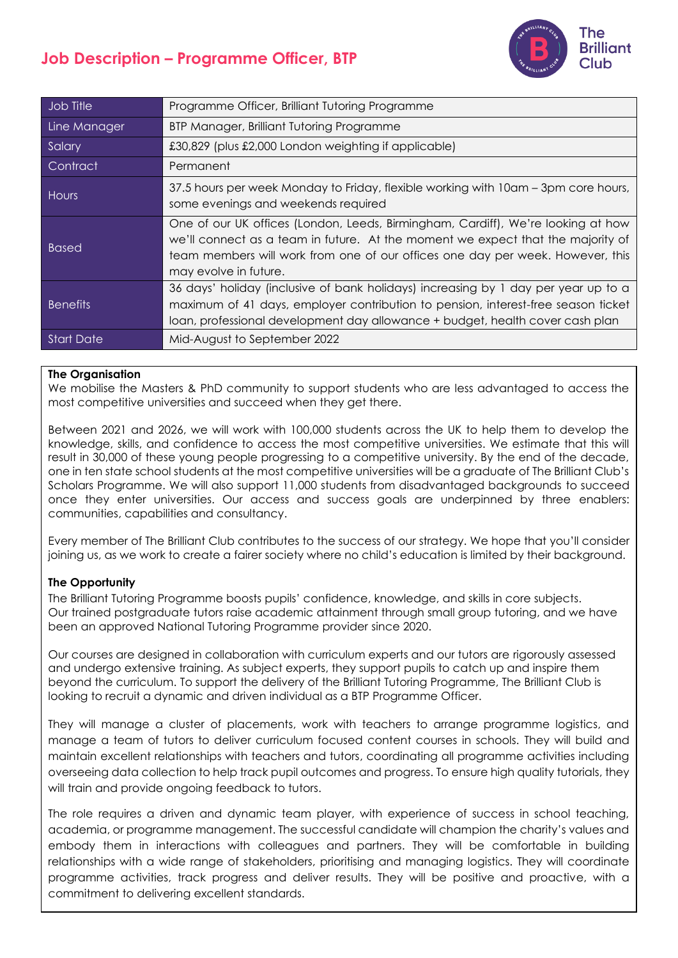# **Job Description – Programme Officer, BTP**



| Job Title         | Programme Officer, Brilliant Tutoring Programme                                                                                                                                                                                                                                |
|-------------------|--------------------------------------------------------------------------------------------------------------------------------------------------------------------------------------------------------------------------------------------------------------------------------|
| Line Manager      | BTP Manager, Brilliant Tutoring Programme                                                                                                                                                                                                                                      |
| Salary            | £30,829 (plus £2,000 London weighting if applicable)                                                                                                                                                                                                                           |
| Contract          | Permanent                                                                                                                                                                                                                                                                      |
| Hours             | 37.5 hours per week Monday to Friday, flexible working with 10am - 3pm core hours,<br>some evenings and weekends required                                                                                                                                                      |
| <b>Based</b>      | One of our UK offices (London, Leeds, Birmingham, Cardiff), We're looking at how<br>we'll connect as a team in future. At the moment we expect that the majority of<br>team members will work from one of our offices one day per week. However, this<br>may evolve in future. |
| <b>Benefits</b>   | 36 days' holiday (inclusive of bank holidays) increasing by 1 day per year up to a<br>maximum of 41 days, employer contribution to pension, interest-free season ticket<br>loan, professional development day allowance + budget, health cover cash plan                       |
| <b>Start Date</b> | Mid-August to September 2022                                                                                                                                                                                                                                                   |

#### **The Organisation**

We mobilise the Masters & PhD community to support students who are less advantaged to access the most competitive universities and succeed when they get there.

Between 2021 and 2026, we will work with 100,000 students across the UK to help them to develop the knowledge, skills, and confidence to access the most competitive universities. We estimate that this will result in 30,000 of these young people progressing to a competitive university. By the end of the decade, one in ten state school students at the most competitive universities will be a graduate of The Brilliant Club's Scholars Programme. We will also support 11,000 students from disadvantaged backgrounds to succeed once they enter universities. Our access and success goals are underpinned by three enablers: communities, capabilities and consultancy.

Every member of The Brilliant Club contributes to the success of our strategy. We hope that you'll consider joining us, as we work to create a fairer society where no child's education is limited by their background.

#### **The Opportunity**

The Brilliant Tutoring Programme boosts pupils' confidence, knowledge, and skills in core subjects. Our trained postgraduate tutors raise academic attainment through small group tutoring, and we have been an approved National Tutoring Programme provider since 2020.

Our courses are designed in collaboration with curriculum experts and our tutors are rigorously assessed and undergo extensive training. As subject experts, they support pupils to catch up and inspire them beyond the curriculum. To support the delivery of the Brilliant Tutoring Programme, The Brilliant Club is looking to recruit a dynamic and driven individual as a BTP Programme Officer.

They will manage a cluster of placements, work with teachers to arrange programme logistics, and manage a team of tutors to deliver curriculum focused content courses in schools. They will build and maintain excellent relationships with teachers and tutors, coordinating all programme activities including overseeing data collection to help track pupil outcomes and progress. To ensure high quality tutorials, they will train and provide ongoing feedback to tutors.

The role requires a driven and dynamic team player, with experience of success in school teaching, academia, or programme management. The successful candidate will champion the charity's values and embody them in interactions with colleagues and partners. They will be comfortable in building relationships with a wide range of stakeholders, prioritising and managing logistics. They will coordinate programme activities, track progress and deliver results. They will be positive and proactive, with a commitment to delivering excellent standards.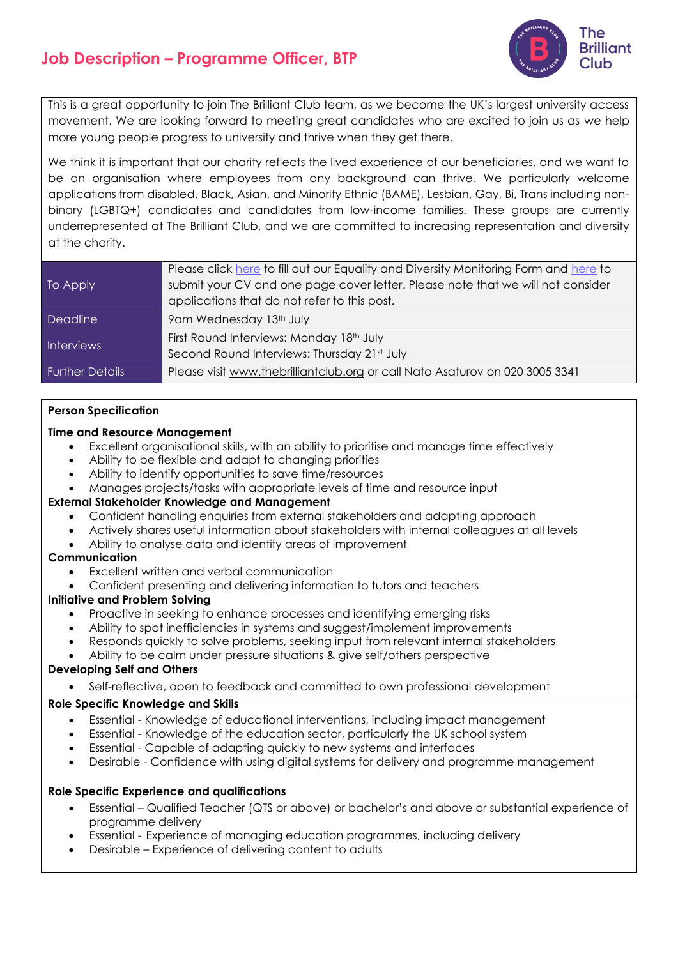## **Job Description – Programme Officer, BTP**



This is a great opportunity to join The Brilliant Club team, as we become the UK's largest university access movement. We are looking forward to meeting great candidates who are excited to join us as we help more young people progress to university and thrive when they get there.

We think it is important that our charity reflects the lived experience of our beneficiaries, and we want to be an organisation where employees from any background can thrive. We particularly welcome applications from disabled, Black, Asian, and Minority Ethnic (BAME), Lesbian, Gay, Bi, Trans including nonbinary (LGBTQ+) candidates and candidates from low-income families. These groups are currently underrepresented at The Brilliant Club, and we are committed to increasing representation and diversity at the charity.

| To Apply               | Please click here to fill out our Equality and Diversity Monitoring Form and here to |
|------------------------|--------------------------------------------------------------------------------------|
|                        | submit your CV and one page cover letter. Please note that we will not consider      |
|                        | applications that do not refer to this post.                                         |
| Deadline               | 9am Wednesday 13th July                                                              |
| <b>Interviews</b>      | First Round Interviews: Monday 18th July                                             |
|                        | Second Round Interviews: Thursday 21st July                                          |
| <b>Further Details</b> | Please visit www.thebrilliantclub.org or call Nato Asaturov on 020 3005 3341         |

#### **Person Specification**

#### **Time and Resource Management**

- Excellent organisational skills, with an ability to prioritise and manage time effectively
- Ability to be flexible and adapt to changing priorities
- Ability to identify opportunities to save time/resources
- Manages projects/tasks with appropriate levels of time and resource input

## **External Stakeholder Knowledge and Management**

- Confident handling enquiries from external stakeholders and adapting approach
- Actively shares useful information about stakeholders with internal colleagues at all levels
- Ability to analyse data and identify areas of improvement

## **Communication**

- Excellent written and verbal communication
- Confident presenting and delivering information to tutors and teachers

#### **Initiative and Problem Solving**

- Proactive in seeking to enhance processes and identifying emerging risks
- Ability to spot inefficiencies in systems and suggest/implement improvements
- Responds quickly to solve problems, seeking input from relevant internal stakeholders
- Ability to be calm under pressure situations & give self/others perspective

## **Developing Self and Others**

• Self-reflective, open to feedback and committed to own professional development

## **Role Specific Knowledge and Skills**

- Essential Knowledge of educational interventions, including impact management
- Essential Knowledge of the education sector, particularly the UK school system
- Essential Capable of adapting quickly to new systems and interfaces
- Desirable Confidence with using digital systems for delivery and programme management

## **Role Specific Experience and qualifications**

- Essential Qualified Teacher (QTS or above) or bachelor's and above or substantial experience of programme delivery
- Essential Experience of managing education programmes, including delivery
- Desirable Experience of delivering content to adults